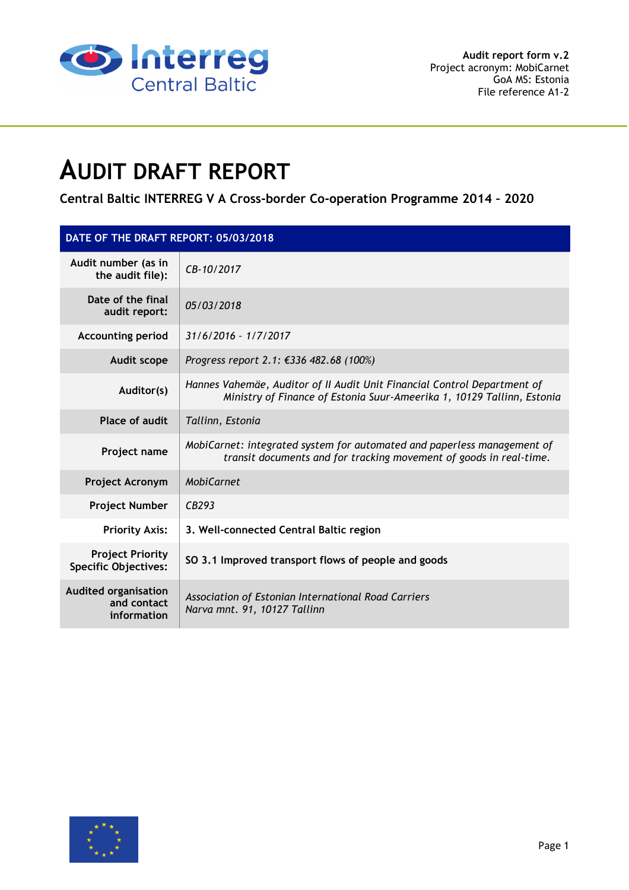

# **AUDIT DRAFT REPORT**

**Central Baltic INTERREG V A Cross-border Co-operation Programme 2014 – 2020** 

| DATE OF THE DRAFT REPORT: 05/03/2018                      |                                                                                                                                                    |  |  |  |  |
|-----------------------------------------------------------|----------------------------------------------------------------------------------------------------------------------------------------------------|--|--|--|--|
| Audit number (as in<br>the audit file):                   | CB-10/2017                                                                                                                                         |  |  |  |  |
| Date of the final<br>audit report:                        | 05/03/2018                                                                                                                                         |  |  |  |  |
| <b>Accounting period</b>                                  | $31/6/2016 - 1/7/2017$                                                                                                                             |  |  |  |  |
| Audit scope                                               | Progress report 2.1: €336 482.68 (100%)                                                                                                            |  |  |  |  |
| Auditor(s)                                                | Hannes Vahemäe, Auditor of II Audit Unit Financial Control Department of<br>Ministry of Finance of Estonia Suur-Ameerika 1, 10129 Tallinn, Estonia |  |  |  |  |
| Place of audit                                            | Tallinn, Estonia                                                                                                                                   |  |  |  |  |
| Project name                                              | MobiCarnet: integrated system for automated and paperless management of<br>transit documents and for tracking movement of goods in real-time.      |  |  |  |  |
| <b>Project Acronym</b>                                    | <b>MobiCarnet</b>                                                                                                                                  |  |  |  |  |
| <b>Project Number</b>                                     | CB293                                                                                                                                              |  |  |  |  |
| <b>Priority Axis:</b>                                     | 3. Well-connected Central Baltic region                                                                                                            |  |  |  |  |
| <b>Project Priority</b><br><b>Specific Objectives:</b>    | SO 3.1 Improved transport flows of people and goods                                                                                                |  |  |  |  |
| <b>Audited organisation</b><br>and contact<br>information | Association of Estonian International Road Carriers<br>Narva mnt. 91, 10127 Tallinn                                                                |  |  |  |  |

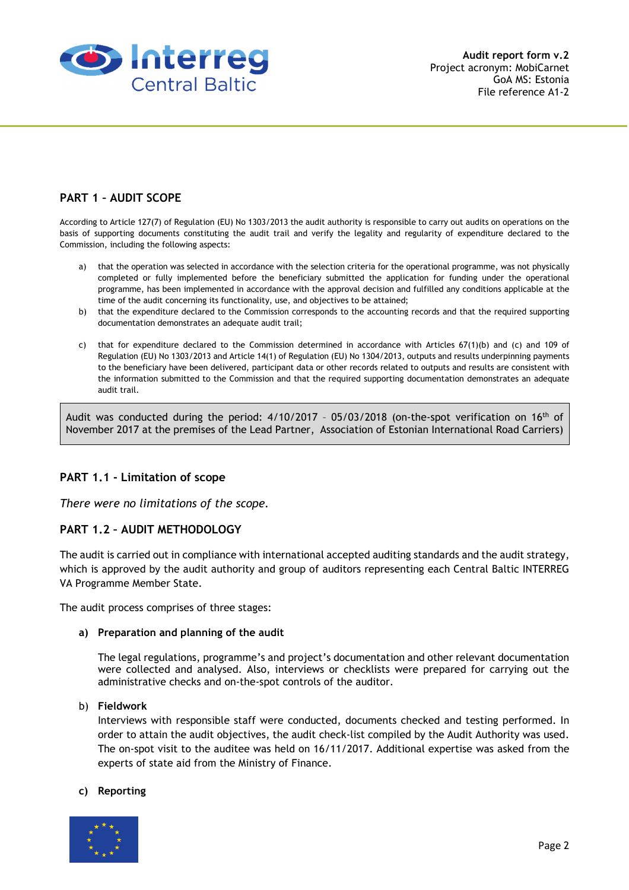

# **PART 1 – AUDIT SCOPE**

According to Article 127(7) of Regulation (EU) No 1303/2013 the audit authority is responsible to carry out audits on operations on the basis of supporting documents constituting the audit trail and verify the legality and regularity of expenditure declared to the Commission, including the following aspects:

- a) that the operation was selected in accordance with the selection criteria for the operational programme, was not physically completed or fully implemented before the beneficiary submitted the application for funding under the operational programme, has been implemented in accordance with the approval decision and fulfilled any conditions applicable at the time of the audit concerning its functionality, use, and objectives to be attained;
- b) that the expenditure declared to the Commission corresponds to the accounting records and that the required supporting documentation demonstrates an adequate audit trail;
- c) that for expenditure declared to the Commission determined in accordance with Articles  $67(1)(b)$  and  $(c)$  and 109 of Regulation (EU) No 1303/2013 and Article 14(1) of Regulation (EU) No 1304/2013, outputs and results underpinning payments to the beneficiary have been delivered, participant data or other records related to outputs and results are consistent with the information submitted to the Commission and that the required supporting documentation demonstrates an adequate audit trail.

Audit was conducted during the period:  $4/10/2017 - 05/03/2018$  (on-the-spot verification on  $16<sup>th</sup>$  of November 2017 at the premises of the Lead Partner, Association of Estonian International Road Carriers)

## **PART 1.1 - Limitation of scope**

*There were no limitations of the scope.* 

## **PART 1.2 – AUDIT METHODOLOGY**

The audit is carried out in compliance with international accepted auditing standards and the audit strategy, which is approved by the audit authority and group of auditors representing each Central Baltic INTERREG VA Programme Member State.

The audit process comprises of three stages:

#### **a) Preparation and planning of the audit**

The legal regulations, programme's and project's documentation and other relevant documentation were collected and analysed. Also, interviews or checklists were prepared for carrying out the administrative checks and on-the-spot controls of the auditor.

#### b) **Fieldwork**

Interviews with responsible staff were conducted, documents checked and testing performed. In order to attain the audit objectives, the audit check-list compiled by the Audit Authority was used. The on-spot visit to the auditee was held on 16/11/2017. Additional expertise was asked from the experts of state aid from the Ministry of Finance.

#### **c) Reporting**

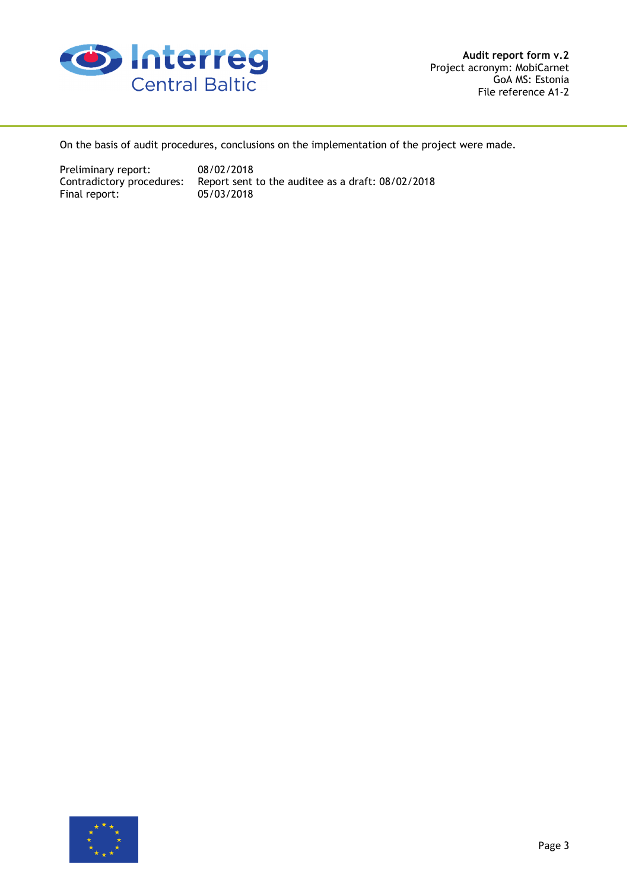

On the basis of audit procedures, conclusions on the implementation of the project were made.

Preliminary report: 08/02/2018 Final report:

Contradictory procedures: Report sent to the auditee as a draft: 08/02/2018<br>Final report: 05/03/2018

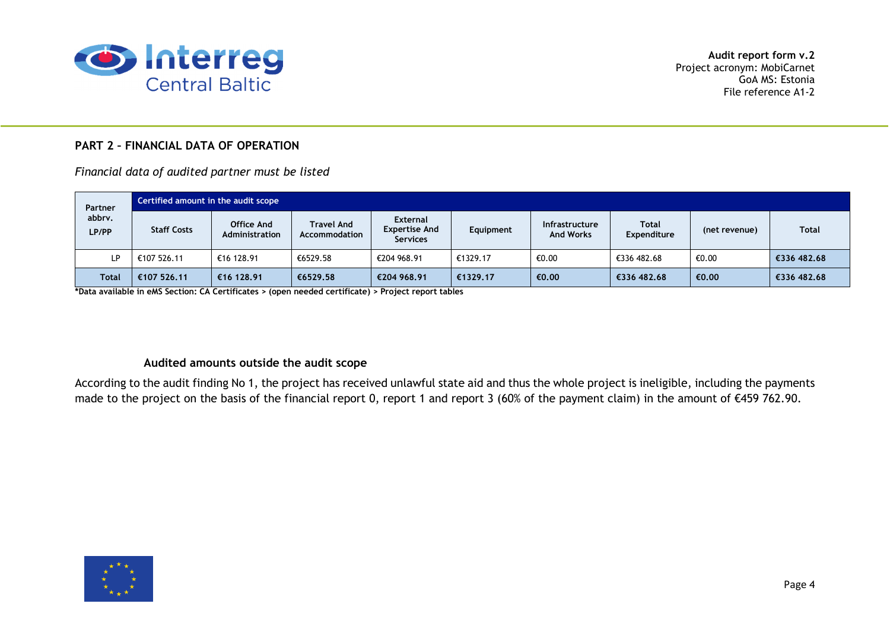

# **PART 2 – FINANCIAL DATA OF OPERATION**

*Financial data of audited partner must be listed* 

| Partner         | Certified amount in the audit scope |                              |                                    |                                                            |           |                                           |                             |               |              |  |
|-----------------|-------------------------------------|------------------------------|------------------------------------|------------------------------------------------------------|-----------|-------------------------------------------|-----------------------------|---------------|--------------|--|
| abbrv.<br>LP/PP | <b>Staff Costs</b>                  | Office And<br>Administration | <b>Travel And</b><br>Accommodation | <b>External</b><br><b>Expertise And</b><br><b>Services</b> | Equipment | <b>Infrastructure</b><br><b>And Works</b> | <b>Total</b><br>Expenditure | (net revenue) | <b>Total</b> |  |
| LP              | €107 526.11                         | €16 128.91                   | €6529.58                           | €204 968.91                                                | €1329.17  | €0.00                                     | €336 482.68                 | €0.00         | €336 482.68  |  |
| <b>Total</b>    | €107 526.11                         | €16 128.91                   | €6529.58                           | €204 968.91                                                | €1329.17  | €0.00                                     | €336 482.68                 | €0.00         | €336 482.68  |  |

**\*Data available in eMS Section: CA Certificates > (open needed certificate) > Project report tables** 

## **Audited amounts outside the audit scope**

According to the audit finding No 1, the project has received unlawful state aid and thus the whole project is ineligible, including the payments made to the project on the basis of the financial report 0, report 1 and report 3 (60% of the payment claim) in the amount of €459 762.90.

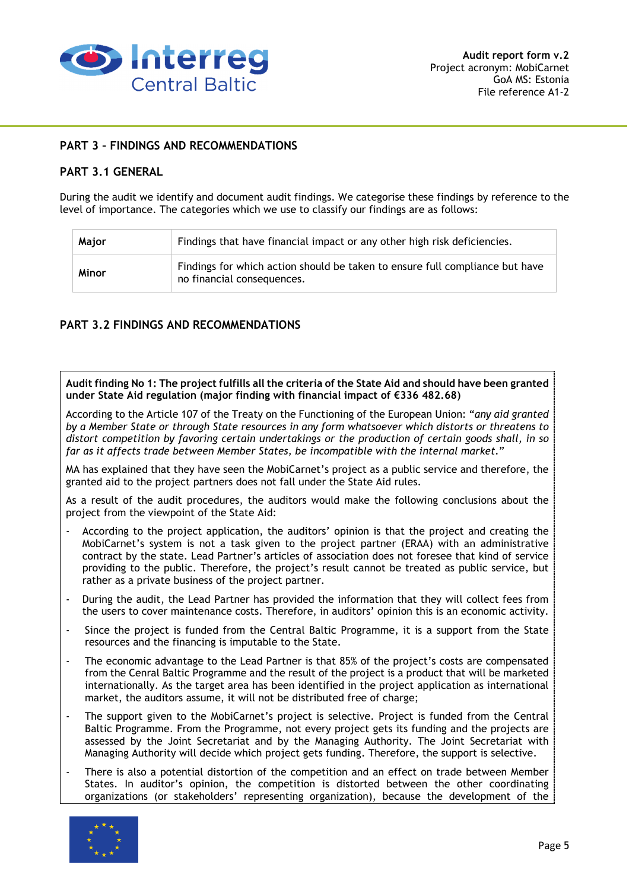

## **PART 3 – FINDINGS AND RECOMMENDATIONS**

## **PART 3.1 GENERAL**

During the audit we identify and document audit findings. We categorise these findings by reference to the level of importance. The categories which we use to classify our findings are as follows:

| Major | Findings that have financial impact or any other high risk deficiencies.                                   |
|-------|------------------------------------------------------------------------------------------------------------|
| Minor | Findings for which action should be taken to ensure full compliance but have<br>no financial consequences. |

## **PART 3.2 FINDINGS AND RECOMMENDATIONS**

**Audit finding No 1: The project fulfills all the criteria of the State Aid and should have been granted under State Aid regulation (major finding with financial impact of €336 482.68)** 

According to the Article 107 of the Treaty on the Functioning of the European Union: "*any aid granted by a Member State or through State resources in any form whatsoever which distorts or threatens to distort competition by favoring certain undertakings or the production of certain goods shall, in so far as it affects trade between Member States, be incompatible with the internal market.*"

MA has explained that they have seen the MobiCarnet's project as a public service and therefore, the granted aid to the project partners does not fall under the State Aid rules.

As a result of the audit procedures, the auditors would make the following conclusions about the project from the viewpoint of the State Aid:

- According to the project application, the auditors' opinion is that the project and creating the MobiCarnet's system is not a task given to the project partner (ERAA) with an administrative contract by the state. Lead Partner's articles of association does not foresee that kind of service providing to the public. Therefore, the project's result cannot be treated as public service, but rather as a private business of the project partner.
- During the audit, the Lead Partner has provided the information that they will collect fees from the users to cover maintenance costs. Therefore, in auditors' opinion this is an economic activity.
- Since the project is funded from the Central Baltic Programme, it is a support from the State resources and the financing is imputable to the State.
- The economic advantage to the Lead Partner is that 85% of the project's costs are compensated from the Cenral Baltic Programme and the result of the project is a product that will be marketed internationally. As the target area has been identified in the project application as international market, the auditors assume, it will not be distributed free of charge;
- The support given to the MobiCarnet's project is selective. Project is funded from the Central Baltic Programme. From the Programme, not every project gets its funding and the projects are assessed by the Joint Secretariat and by the Managing Authority. The Joint Secretariat with Managing Authority will decide which project gets funding. Therefore, the support is selective.
- There is also a potential distortion of the competition and an effect on trade between Member States. In auditor's opinion, the competition is distorted between the other coordinating organizations (or stakeholders' representing organization), because the development of the

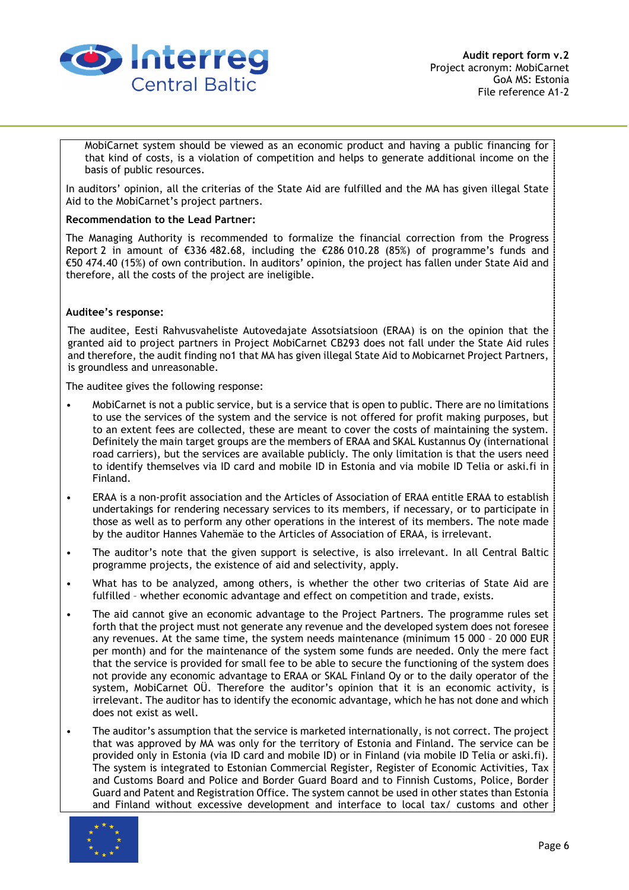

MobiCarnet system should be viewed as an economic product and having a public financing for that kind of costs, is a violation of competition and helps to generate additional income on the basis of public resources.

In auditors' opinion, all the criterias of the State Aid are fulfilled and the MA has given illegal State Aid to the MobiCarnet's project partners.

#### **Recommendation to the Lead Partner:**

The Managing Authority is recommended to formalize the financial correction from the Progress Report 2 in amount of €336 482.68, including the €286 010.28 (85%) of programme's funds and €50 474.40 (15%) of own contribution. In auditors' opinion, the project has fallen under State Aid and therefore, all the costs of the project are ineligible.

#### **Auditee's response:**

The auditee, Eesti Rahvusvaheliste Autovedajate Assotsiatsioon (ERAA) is on the opinion that the granted aid to project partners in Project MobiCarnet CB293 does not fall under the State Aid rules and therefore, the audit finding no1 that MA has given illegal State Aid to Mobicarnet Project Partners, is groundless and unreasonable.

The auditee gives the following response:

- MobiCarnet is not a public service, but is a service that is open to public. There are no limitations to use the services of the system and the service is not offered for profit making purposes, but to an extent fees are collected, these are meant to cover the costs of maintaining the system. Definitely the main target groups are the members of ERAA and SKAL Kustannus Oy (international road carriers), but the services are available publicly. The only limitation is that the users need to identify themselves via ID card and mobile ID in Estonia and via mobile ID Telia or aski.fi in Finland.
- ERAA is a non-profit association and the Articles of Association of ERAA entitle ERAA to establish undertakings for rendering necessary services to its members, if necessary, or to participate in those as well as to perform any other operations in the interest of its members. The note made by the auditor Hannes Vahemäe to the Articles of Association of ERAA, is irrelevant.
- The auditor's note that the given support is selective, is also irrelevant. In all Central Baltic programme projects, the existence of aid and selectivity, apply.
- What has to be analyzed, among others, is whether the other two criterias of State Aid are fulfilled – whether economic advantage and effect on competition and trade, exists.
- The aid cannot give an economic advantage to the Project Partners. The programme rules set forth that the project must not generate any revenue and the developed system does not foresee any revenues. At the same time, the system needs maintenance (minimum 15 000 – 20 000 EUR per month) and for the maintenance of the system some funds are needed. Only the mere fact that the service is provided for small fee to be able to secure the functioning of the system does not provide any economic advantage to ERAA or SKAL Finland Oy or to the daily operator of the system, MobiCarnet OÜ. Therefore the auditor's opinion that it is an economic activity, is irrelevant. The auditor has to identify the economic advantage, which he has not done and which does not exist as well.
- The auditor's assumption that the service is marketed internationally, is not correct. The project that was approved by MA was only for the territory of Estonia and Finland. The service can be provided only in Estonia (via ID card and mobile ID) or in Finland (via mobile ID Telia or aski.fi). The system is integrated to Estonian Commercial Register, Register of Economic Activities, Tax and Customs Board and Police and Border Guard Board and to Finnish Customs, Police, Border Guard and Patent and Registration Office. The system cannot be used in other states than Estonia and Finland without excessive development and interface to local tax/ customs and other

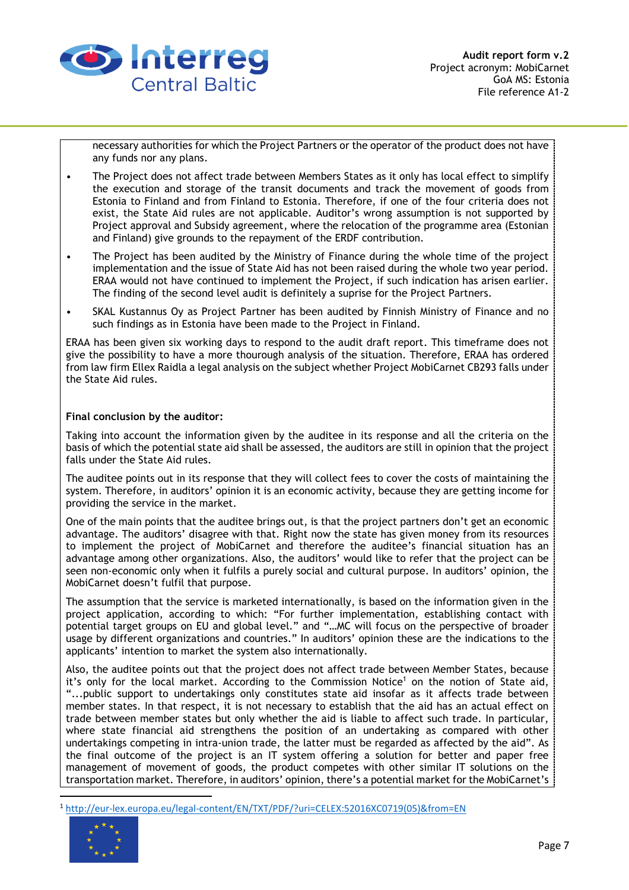

necessary authorities for which the Project Partners or the operator of the product does not have any funds nor any plans.

- The Project does not affect trade between Members States as it only has local effect to simplify the execution and storage of the transit documents and track the movement of goods from Estonia to Finland and from Finland to Estonia. Therefore, if one of the four criteria does not exist, the State Aid rules are not applicable. Auditor's wrong assumption is not supported by Project approval and Subsidy agreement, where the relocation of the programme area (Estonian and Finland) give grounds to the repayment of the ERDF contribution.
- The Project has been audited by the Ministry of Finance during the whole time of the project implementation and the issue of State Aid has not been raised during the whole two year period. ERAA would not have continued to implement the Project, if such indication has arisen earlier. The finding of the second level audit is definitely a suprise for the Project Partners.
- SKAL Kustannus Oy as Project Partner has been audited by Finnish Ministry of Finance and no such findings as in Estonia have been made to the Project in Finland.

ERAA has been given six working days to respond to the audit draft report. This timeframe does not give the possibility to have a more thourough analysis of the situation. Therefore, ERAA has ordered from law firm Ellex Raidla a legal analysis on the subject whether Project MobiCarnet CB293 falls under the State Aid rules.

#### **Final conclusion by the auditor:**

Taking into account the information given by the auditee in its response and all the criteria on the basis of which the potential state aid shall be assessed, the auditors are still in opinion that the project falls under the State Aid rules.

The auditee points out in its response that they will collect fees to cover the costs of maintaining the system. Therefore, in auditors' opinion it is an economic activity, because they are getting income for providing the service in the market.

One of the main points that the auditee brings out, is that the project partners don't get an economic advantage. The auditors' disagree with that. Right now the state has given money from its resources to implement the project of MobiCarnet and therefore the auditee's financial situation has an advantage among other organizations. Also, the auditors' would like to refer that the project can be seen non-economic only when it fulfils a purely social and cultural purpose. In auditors' opinion, the MobiCarnet doesn't fulfil that purpose.

The assumption that the service is marketed internationally, is based on the information given in the project application, according to which: "For further implementation, establishing contact with potential target groups on EU and global level." and "…MC will focus on the perspective of broader usage by different organizations and countries." In auditors' opinion these are the indications to the applicants' intention to market the system also internationally.

Also, the auditee points out that the project does not affect trade between Member States, because it's only for the local market. According to the Commission Notice<sup>1</sup> on the notion of State aid, "...public support to undertakings only constitutes state aid insofar as it affects trade between member states. In that respect, it is not necessary to establish that the aid has an actual effect on trade between member states but only whether the aid is liable to affect such trade. In particular, where state financial aid strengthens the position of an undertaking as compared with other undertakings competing in intra-union trade, the latter must be regarded as affected by the aid". As the final outcome of the project is an IT system offering a solution for better and paper free management of movement of goods, the product competes with other similar IT solutions on the transportation market. Therefore, in auditors' opinion, there's a potential market for the MobiCarnet's

<sup>1</sup> http://eur-lex.europa.eu/legal-content/EN/TXT/PDF/?uri=CELEX:52016XC0719(05)&from=EN



 $\overline{\phantom{0}}$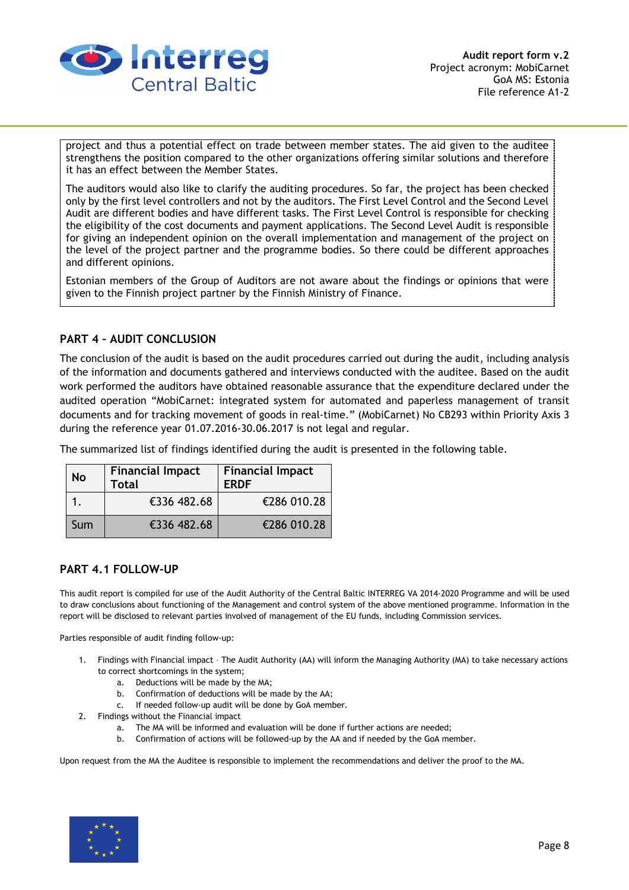

project and thus a potential effect on trade between member states. The aid given to the auditee strengthens the position compared to the other organizations offering similar solutions and therefore it has an effect between the Member States.

The auditors would also like to clarify the auditing procedures. So far, the project has been checked only by the first level controllers and not by the auditors. The First Level Control and the Second Level Audit are different bodies and have different tasks. The First Level Control is responsible for checking the eligibility of the cost documents and payment applications. The Second Level Audit is responsible for giving an independent opinion on the overall implementation and management of the project on the level of the project partner and the programme bodies. So there could be different approaches and different opinions.

Estonian members of the Group of Auditors are not aware about the findings or opinions that were given to the Finnish project partner by the Finnish Ministry of Finance.

## **PART 4 – AUDIT CONCLUSION**

The conclusion of the audit is based on the audit procedures carried out during the audit, including analysis of the information and documents gathered and interviews conducted with the auditee. Based on the audit work performed the auditors have obtained reasonable assurance that the expenditure declared under the audited operation "MobiCarnet: integrated system for automated and paperless management of transit documents and for tracking movement of goods in real-time." (MobiCarnet) No CB293 within Priority Axis 3 during the reference year 01.07.2016-30.06.2017 is not legal and regular.

The summarized list of findings identified during the audit is presented in the following table.

| <b>No</b> | <b>Financial Impact</b><br><b>Total</b> | <b>Financial Impact</b><br><b>ERDF</b> |  |  |
|-----------|-----------------------------------------|----------------------------------------|--|--|
|           | €336 482.68                             | €286 010.28                            |  |  |
| Sum       | €336 482.68                             | €286 010.28                            |  |  |

#### **PART 4.1 FOLLOW-UP**

This audit report is compiled for use of the Audit Authority of the Central Baltic INTERREG VA 2014-2020 Programme and will be used to draw conclusions about functioning of the Management and control system of the above mentioned programme. Information in the report will be disclosed to relevant parties involved of management of the EU funds, including Commission services.

Parties responsible of audit finding follow-up:

- 1. Findings with Financial impact The Audit Authority (AA) will inform the Managing Authority (MA) to take necessary actions to correct shortcomings in the system;
	- a. Deductions will be made by the MA;
	- b. Confirmation of deductions will be made by the AA;
	- c. If needed follow-up audit will be done by GoA member.
- 2. Findings without the Financial impact
	- a. The MA will be informed and evaluation will be done if further actions are needed;
	- b. Confirmation of actions will be followed-up by the AA and if needed by the GoA member.

Upon request from the MA the Auditee is responsible to implement the recommendations and deliver the proof to the MA.